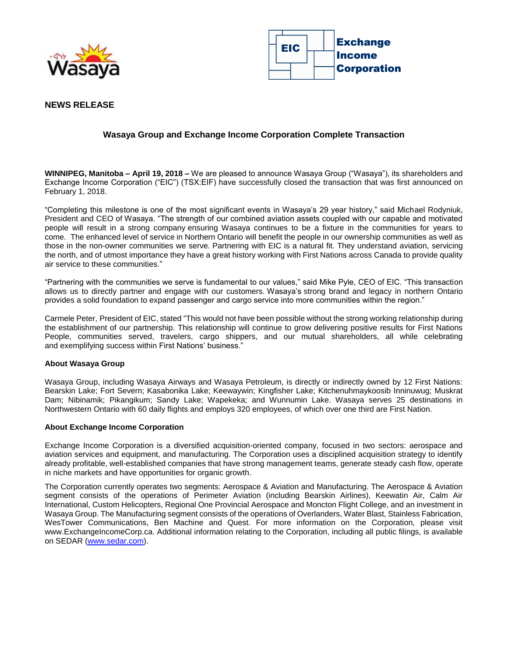



## **NEWS RELEASE**

# **Wasaya Group and Exchange Income Corporation Complete Transaction**

**WINNIPEG, Manitoba – April 19, 2018 –** We are pleased to announce Wasaya Group ("Wasaya"), its shareholders and Exchange Income Corporation ("EIC") (TSX:EIF) have successfully closed the transaction that was first announced on February 1, 2018.

"Completing this milestone is one of the most significant events in Wasaya's 29 year history," said Michael Rodyniuk, President and CEO of Wasaya. "The strength of our combined aviation assets coupled with our capable and motivated people will result in a strong company ensuring Wasaya continues to be a fixture in the communities for years to come. The enhanced level of service in Northern Ontario will benefit the people in our ownership communities as well as those in the non-owner communities we serve. Partnering with EIC is a natural fit. They understand aviation, servicing the north, and of utmost importance they have a great history working with First Nations across Canada to provide quality air service to these communities."

"Partnering with the communities we serve is fundamental to our values," said Mike Pyle, CEO of EIC. "This transaction allows us to directly partner and engage with our customers. Wasaya's strong brand and legacy in northern Ontario provides a solid foundation to expand passenger and cargo service into more communities within the region."

Carmele Peter, President of EIC, stated "This would not have been possible without the strong working relationship during the establishment of our partnership. This relationship will continue to grow delivering positive results for First Nations People, communities served, travelers, cargo shippers, and our mutual shareholders, all while celebrating and exemplifying success within First Nations' business."

#### **About Wasaya Group**

Wasaya Group, including Wasaya Airways and Wasaya Petroleum, is directly or indirectly owned by 12 First Nations: Bearskin Lake; Fort Severn; Kasabonika Lake; Keewaywin; Kingfisher Lake; Kitchenuhmaykoosib Inninuwug; Muskrat Dam; Nibinamik; Pikangikum; Sandy Lake; Wapekeka; and Wunnumin Lake. Wasaya serves 25 destinations in Northwestern Ontario with 60 daily flights and employs 320 employees, of which over one third are First Nation.

#### **About Exchange Income Corporation**

Exchange Income Corporation is a diversified acquisition-oriented company, focused in two sectors: aerospace and aviation services and equipment, and manufacturing. The Corporation uses a disciplined acquisition strategy to identify already profitable, well-established companies that have strong management teams, generate steady cash flow, operate in niche markets and have opportunities for organic growth.

The Corporation currently operates two segments: Aerospace & Aviation and Manufacturing. The Aerospace & Aviation segment consists of the operations of Perimeter Aviation (including Bearskin Airlines), Keewatin Air, Calm Air International, Custom Helicopters, Regional One Provincial Aerospace and Moncton Flight College, and an investment in Wasaya Group. The Manufacturing segment consists of the operations of Overlanders, Water Blast, Stainless Fabrication, WesTower Communications, Ben Machine and Quest. For more information on the Corporation, please visit www.ExchangeIncomeCorp.ca. Additional information relating to the Corporation, including all public filings, is available on SEDAR [\(www.sedar.com\)](http://www.sedar.com/).